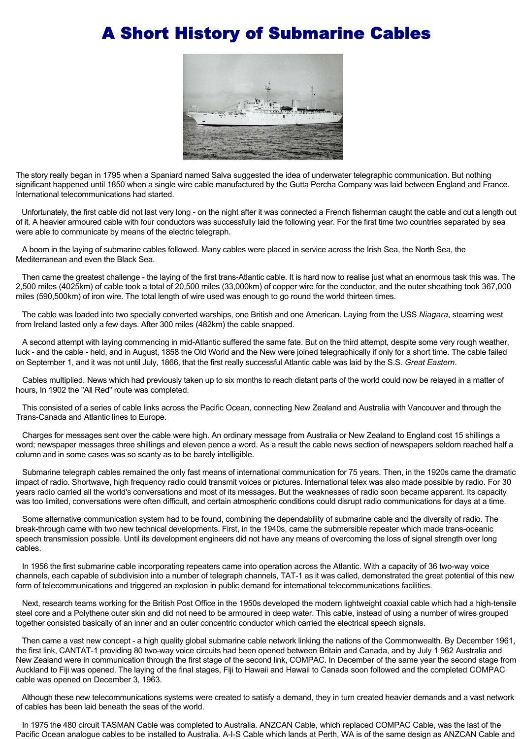## A Short History of Submarine Cables



The story really began in 1795 when a Spaniard named Salva suggested the idea of underwater telegraphic communication. But nothing significant happened until 1850 when a single wire cable manufactured by the Gutta Percha Company was laid between England and France. International telecommunications had started.

 Unfortunately, the first cable did not last very long - on the night after it was connected a French fisherman caught the cable and cut a length out of it. A heavier armoured cable with four conductors was successfully laid the following year. For the first time two countries separated by sea were able to communicate by means of the electric telegraph.

 A boom in the laying of submarine cables followed. Many cables were placed in service across the Irish Sea, the North Sea, the Mediterranean and even the Black Sea.

 Then came the greatest challenge - the laying of the first trans-Atlantic cable. It is hard now to realise just what an enormous task this was. The 2,500 miles (4025km) of cable took a total of 20,500 miles (33,000km) of copper wire for the conductor, and the outer sheathing took 367,000 miles (590,500km) of iron wire. The total length of wire used was enough to go round the world thirteen times.

 The cable was loaded into two specially converted warships, one British and one American. Laying from the USS *Niagara*, steaming west from Ireland lasted only a few days. After 300 miles (482km) the cable snapped.

 A second attempt with laying commencing in mid-Atlantic suffered the same fate. But on the third attempt, despite some very rough weather, luck - and the cable - held, and in August, 1858 the Old World and the New were joined telegraphically if only for a short time. The cable failed on September 1, and it was not until July, 1866, that the first really successful Atlantic cable was laid by the S.S. *Great Eastern*.

 Cables multiplied. News which had previously taken up to six months to reach distant parts of the world could now be relayed in a matter of hours, In 1902 the "All Red" route was completed.

 This consisted of a series of cable links across the Pacific Ocean, connecting New Zealand and Australia with Vancouver and through the Trans-Canada and Atlantic lines to Europe.

 Charges for messages sent over the cable were high. An ordinary message from Australia or New Zealand to England cost 15 shillings a word; newspaper messages three shillings and eleven pence a word. As a result the cable news section of newspapers seldom reached half a column and in some cases was so scanty as to be barely intelligible.

 Submarine telegraph cables remained the only fast means of international communication for 75 years. Then, in the 1920s came the dramatic impact of radio. Shortwave, high frequency radio could transmit voices or pictures. International telex was also made possible by radio. For 30 years radio carried all the world's conversations and most of its messages. But the weaknesses of radio soon became apparent. Its capacity was too limited, conversations were often difficult, and certain atmospheric conditions could disrupt radio communications for days at a time.

 Some alternative communication system had to be found, combining the dependability of submarine cable and the diversity of radio. The break-through came with two new technical developments. First, in the 1940s, came the submersible repeater which made trans-oceanic speech transmission possible. Until its development engineers did not have any means of overcoming the loss of signal strength over long cables.

 In 1956 the first submarine cable incorporating repeaters came into operation across the Atlantic. With a capacity of 36 two-way voice channels, each capable of subdivision into a number of telegraph channels, TAT-1 as it was called, demonstrated the great potential of this new form of telecommunications and triggered an explosion in public demand for international telecommunications facilities.

 Next, research teams working for the British Post Office in the 1950s developed the modern lightweight coaxial cable which had a high-tensile steel core and a Polythene outer skin and did not need to be armoured in deep water. This cable, instead of using a number of wires grouped together consisted basically of an inner and an outer concentric conductor which carried the electrical speech signals.

 Then came a vast new concept - a high quality global submarine cable network linking the nations of the Commonwealth. By December 1961, the first link, CANTAT-1 providing 80 two-way voice circuits had been opened between Britain and Canada, and by July 1 962 Australia and New Zealand were in communication through the first stage of the second link, COMPAC. In December of the same year the second stage from Auckland to Fiji was opened. The laying of the final stages, Fiji to Hawaii and Hawaii to Canada soon followed and the completed COMPAC cable was opened on December 3, 1963.

 Although these new telecommunications systems were created to satisfy a demand, they in turn created heavier demands and a vast network of cables has been laid beneath the seas of the world.

 In 1975 the 480 circuit TASMAN Cable was completed to Australia. ANZCAN Cable, which replaced COMPAC Cable, was the last of the Pacific Ocean analogue cables to be installed to Australia. A-I-S Cable which lands at Perth, WA is of the same design as ANZCAN Cable and